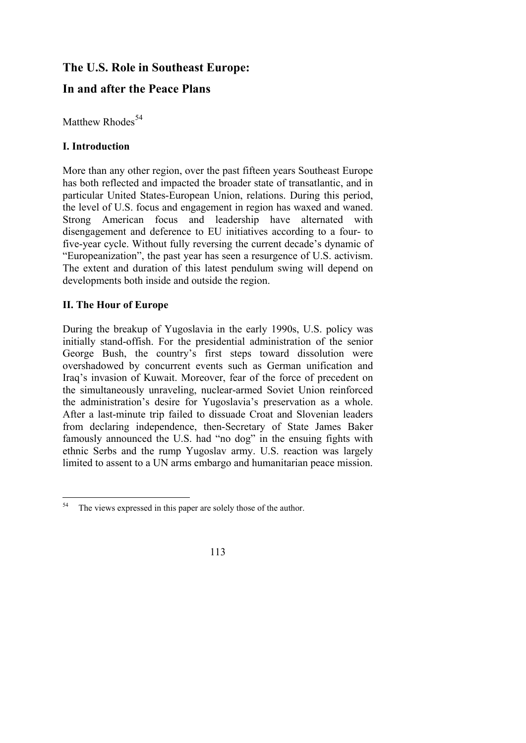# **The U.S. Role in Southeast Europe:**

# **In and after the Peace Plans**

Matthew Rhodes<sup>[54](#page-0-0)</sup>

## **I. Introduction**

More than any other region, over the past fifteen years Southeast Europe has both reflected and impacted the broader state of transatlantic, and in particular United States-European Union, relations. During this period, the level of U.S. focus and engagement in region has waxed and waned. Strong American focus and leadership have alternated with disengagement and deference to EU initiatives according to a four- to five-year cycle. Without fully reversing the current decade's dynamic of "Europeanization", the past year has seen a resurgence of U.S. activism. The extent and duration of this latest pendulum swing will depend on developments both inside and outside the region.

## **II. The Hour of Europe**

During the breakup of Yugoslavia in the early 1990s, U.S. policy was initially stand-offish. For the presidential administration of the senior George Bush, the country's first steps toward dissolution were overshadowed by concurrent events such as German unification and Iraq's invasion of Kuwait. Moreover, fear of the force of precedent on the simultaneously unraveling, nuclear-armed Soviet Union reinforced the administration's desire for Yugoslavia's preservation as a whole. After a last-minute trip failed to dissuade Croat and Slovenian leaders from declaring independence, then-Secretary of State James Baker famously announced the U.S. had "no dog" in the ensuing fights with ethnic Serbs and the rump Yugoslav army. U.S. reaction was largely limited to assent to a UN arms embargo and humanitarian peace mission.

<span id="page-0-0"></span><sup>54</sup> The views expressed in this paper are solely those of the author.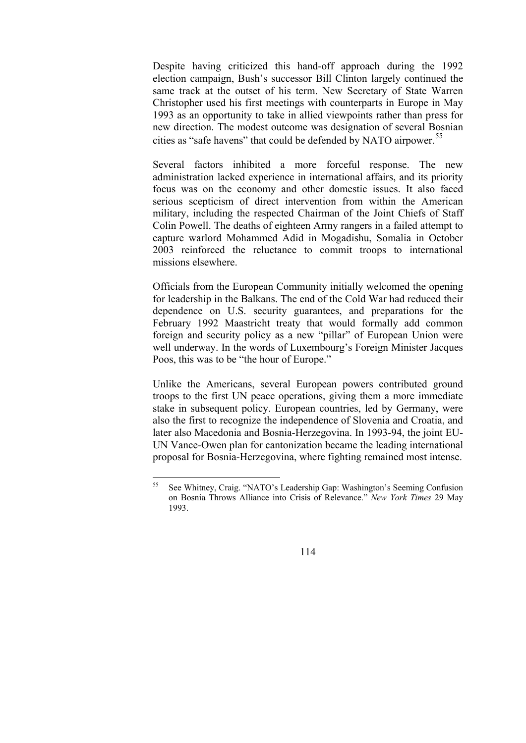Despite having criticized this hand-off approach during the 1992 election campaign, Bush's successor Bill Clinton largely continued the same track at the outset of his term. New Secretary of State Warren Christopher used his first meetings with counterparts in Europe in May 1993 as an opportunity to take in allied viewpoints rather than press for new direction. The modest outcome was designation of several Bosnian cities as "safe havens" that could be defended by NATO airpower.<sup>[5](#page-1-0)5</sup>

Several factors inhibited a more forceful response. The new administration lacked experience in international affairs, and its priority focus was on the economy and other domestic issues. It also faced serious scepticism of direct intervention from within the American military, including the respected Chairman of the Joint Chiefs of Staff Colin Powell. The deaths of eighteen Army rangers in a failed attempt to capture warlord Mohammed Adid in Mogadishu, Somalia in October 2003 reinforced the reluctance to commit troops to international missions elsewhere.

Officials from the European Community initially welcomed the opening for leadership in the Balkans. The end of the Cold War had reduced their dependence on U.S. security guarantees, and preparations for the February 1992 Maastricht treaty that would formally add common foreign and security policy as a new "pillar" of European Union were well underway. In the words of Luxembourg's Foreign Minister Jacques Poos, this was to be "the hour of Europe."

Unlike the Americans, several European powers contributed ground troops to the first UN peace operations, giving them a more immediate stake in subsequent policy. European countries, led by Germany, were also the first to recognize the independence of Slovenia and Croatia, and later also Macedonia and Bosnia-Herzegovina. In 1993-94, the joint EU-UN Vance-Owen plan for cantonization became the leading international proposal for Bosnia-Herzegovina, where fighting remained most intense.

<span id="page-1-0"></span><sup>55</sup> 55 See Whitney, Craig. "NATO's Leadership Gap: Washington's Seeming Confusion on Bosnia Throws Alliance into Crisis of Relevance." *New York Times* 29 May 1993.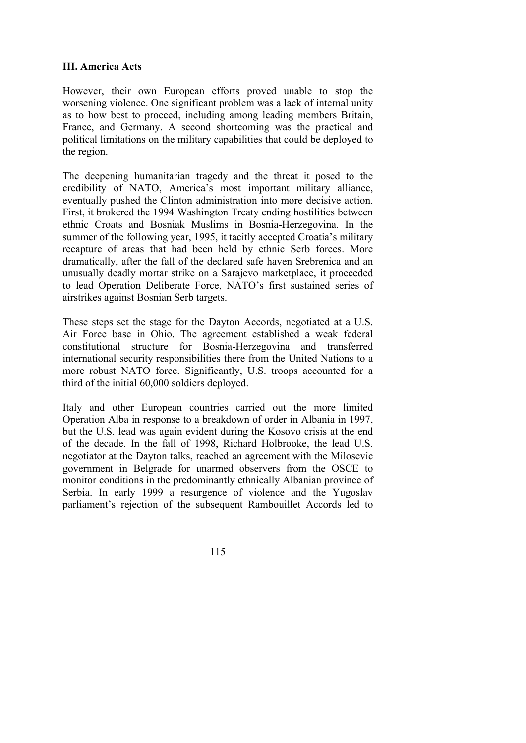### **III. America Acts**

However, their own European efforts proved unable to stop the worsening violence. One significant problem was a lack of internal unity as to how best to proceed, including among leading members Britain, France, and Germany. A second shortcoming was the practical and political limitations on the military capabilities that could be deployed to the region.

The deepening humanitarian tragedy and the threat it posed to the credibility of NATO, America's most important military alliance, eventually pushed the Clinton administration into more decisive action. First, it brokered the 1994 Washington Treaty ending hostilities between ethnic Croats and Bosniak Muslims in Bosnia-Herzegovina. In the summer of the following year, 1995, it tacitly accepted Croatia's military recapture of areas that had been held by ethnic Serb forces. More dramatically, after the fall of the declared safe haven Srebrenica and an unusually deadly mortar strike on a Sarajevo marketplace, it proceeded to lead Operation Deliberate Force, NATO's first sustained series of airstrikes against Bosnian Serb targets.

These steps set the stage for the Dayton Accords, negotiated at a U.S. Air Force base in Ohio. The agreement established a weak federal constitutional structure for Bosnia-Herzegovina and transferred international security responsibilities there from the United Nations to a more robust NATO force. Significantly, U.S. troops accounted for a third of the initial 60,000 soldiers deployed.

Italy and other European countries carried out the more limited Operation Alba in response to a breakdown of order in Albania in 1997, but the U.S. lead was again evident during the Kosovo crisis at the end of the decade. In the fall of 1998, Richard Holbrooke, the lead U.S. negotiator at the Dayton talks, reached an agreement with the Milosevic government in Belgrade for unarmed observers from the OSCE to monitor conditions in the predominantly ethnically Albanian province of Serbia. In early 1999 a resurgence of violence and the Yugoslav parliament's rejection of the subsequent Rambouillet Accords led to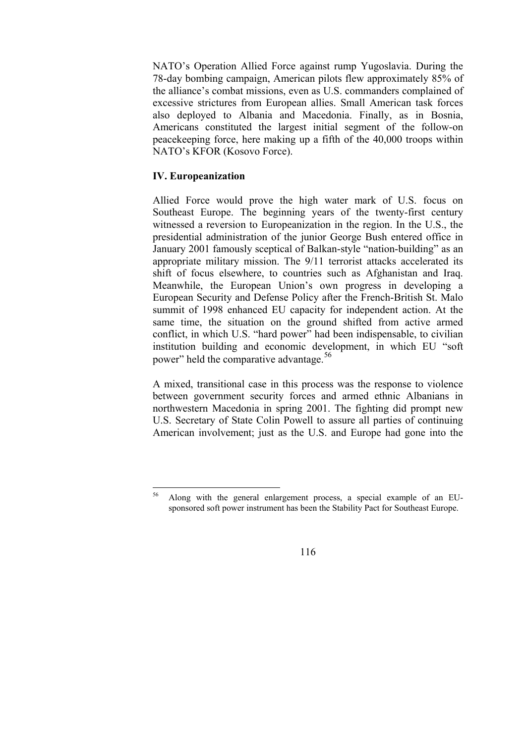NATO's Operation Allied Force against rump Yugoslavia. During the 78-day bombing campaign, American pilots flew approximately 85% of the alliance's combat missions, even as U.S. commanders complained of excessive strictures from European allies. Small American task forces also deployed to Albania and Macedonia. Finally, as in Bosnia, Americans constituted the largest initial segment of the follow-on peacekeeping force, here making up a fifth of the 40,000 troops within NATO's KFOR (Kosovo Force).

### **IV. Europeanization**

Allied Force would prove the high water mark of U.S. focus on Southeast Europe. The beginning years of the twenty-first century witnessed a reversion to Europeanization in the region. In the U.S., the presidential administration of the junior George Bush entered office in January 2001 famously sceptical of Balkan-style "nation-building" as an appropriate military mission. The 9/11 terrorist attacks accelerated its shift of focus elsewhere, to countries such as Afghanistan and Iraq. Meanwhile, the European Union's own progress in developing a European Security and Defense Policy after the French-British St. Malo summit of 1998 enhanced EU capacity for independent action. At the same time, the situation on the ground shifted from active armed conflict, in which U.S. "hard power" had been indispensable, to civilian institution building and economic development, in which EU "soft power" held the comparative advantage.<sup>[56](#page-3-0)</sup>

A mixed, transitional case in this process was the response to violence between government security forces and armed ethnic Albanians in northwestern Macedonia in spring 2001. The fighting did prompt new U.S. Secretary of State Colin Powell to assure all parties of continuing American involvement; just as the U.S. and Europe had gone into the

<span id="page-3-0"></span><sup>56</sup> 56 Along with the general enlargement process, a special example of an EUsponsored soft power instrument has been the Stability Pact for Southeast Europe.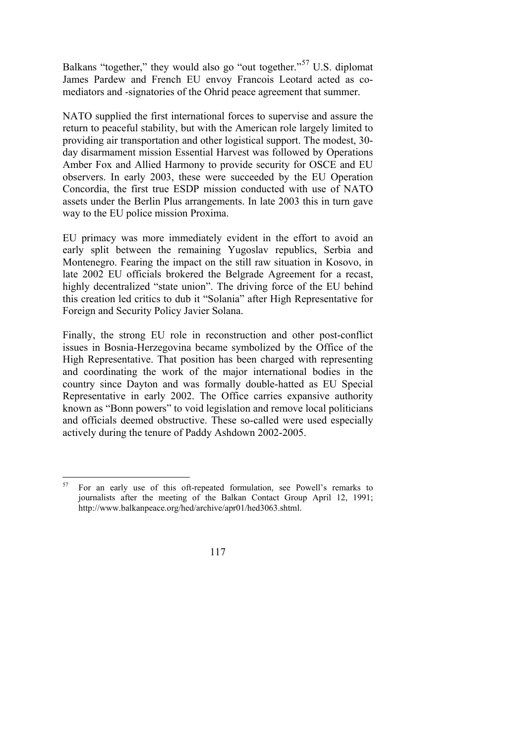Balkans "together," they would also go "out together."<sup>[5](#page-4-0)7</sup> U.S. diplomat James Pardew and French EU envoy Francois Leotard acted as comediators and -signatories of the Ohrid peace agreement that summer.

NATO supplied the first international forces to supervise and assure the return to peaceful stability, but with the American role largely limited to providing air transportation and other logistical support. The modest, 30 day disarmament mission Essential Harvest was followed by Operations Amber Fox and Allied Harmony to provide security for OSCE and EU observers. In early 2003, these were succeeded by the EU Operation Concordia, the first true ESDP mission conducted with use of NATO assets under the Berlin Plus arrangements. In late 2003 this in turn gave way to the EU police mission Proxima.

EU primacy was more immediately evident in the effort to avoid an early split between the remaining Yugoslav republics, Serbia and Montenegro. Fearing the impact on the still raw situation in Kosovo, in late 2002 EU officials brokered the Belgrade Agreement for a recast, highly decentralized "state union". The driving force of the EU behind this creation led critics to dub it "Solania" after High Representative for Foreign and Security Policy Javier Solana.

Finally, the strong EU role in reconstruction and other post-conflict issues in Bosnia-Herzegovina became symbolized by the Office of the High Representative. That position has been charged with representing and coordinating the work of the major international bodies in the country since Dayton and was formally double-hatted as EU Special Representative in early 2002. The Office carries expansive authority known as "Bonn powers" to void legislation and remove local politicians and officials deemed obstructive. These so-called were used especially actively during the tenure of Paddy Ashdown 2002-2005.

<span id="page-4-0"></span><sup>57</sup> 57 For an early use of this oft-repeated formulation, see Powell's remarks to journalists after the meeting of the Balkan Contact Group April 12, 1991; http://www.balkanpeace.org/hed/archive/apr01/hed3063.shtml.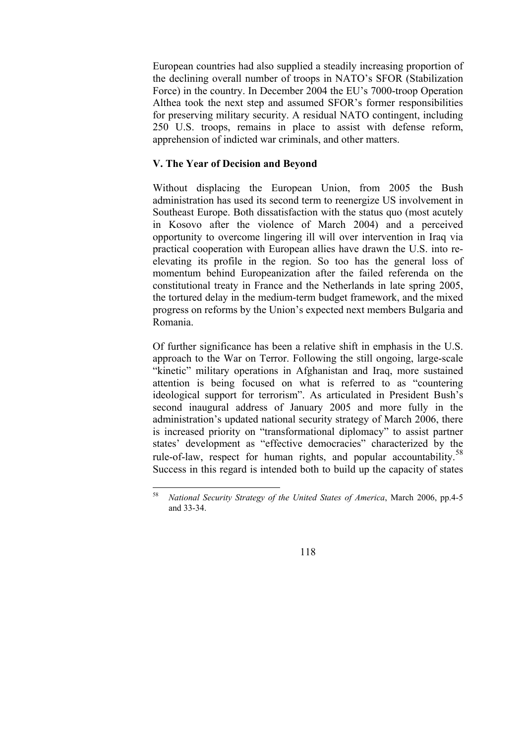European countries had also supplied a steadily increasing proportion of the declining overall number of troops in NATO's SFOR (Stabilization Force) in the country. In December 2004 the EU's 7000-troop Operation Althea took the next step and assumed SFOR's former responsibilities for preserving military security. A residual NATO contingent, including 250 U.S. troops, remains in place to assist with defense reform, apprehension of indicted war criminals, and other matters.

## **V. The Year of Decision and Beyond**

Without displacing the European Union, from 2005 the Bush administration has used its second term to reenergize US involvement in Southeast Europe. Both dissatisfaction with the status quo (most acutely in Kosovo after the violence of March 2004) and a perceived opportunity to overcome lingering ill will over intervention in Iraq via practical cooperation with European allies have drawn the U.S. into reelevating its profile in the region. So too has the general loss of momentum behind Europeanization after the failed referenda on the constitutional treaty in France and the Netherlands in late spring 2005, the tortured delay in the medium-term budget framework, and the mixed progress on reforms by the Union's expected next members Bulgaria and Romania.

Of further significance has been a relative shift in emphasis in the U.S. approach to the War on Terror. Following the still ongoing, large-scale "kinetic" military operations in Afghanistan and Iraq, more sustained attention is being focused on what is referred to as "countering ideological support for terrorism". As articulated in President Bush's second inaugural address of January 2005 and more fully in the administration's updated national security strategy of March 2006, there is increased priority on "transformational diplomacy" to assist partner states' development as "effective democracies" characterized by the rule-of-law, respect for human rights, and popular accountability.<sup>[5](#page-5-0)8</sup> Success in this regard is intended both to build up the capacity of states

<span id="page-5-0"></span><sup>58</sup> 58 *National Security Strategy of the United States of America*, March 2006, pp.4-5 and 33-34.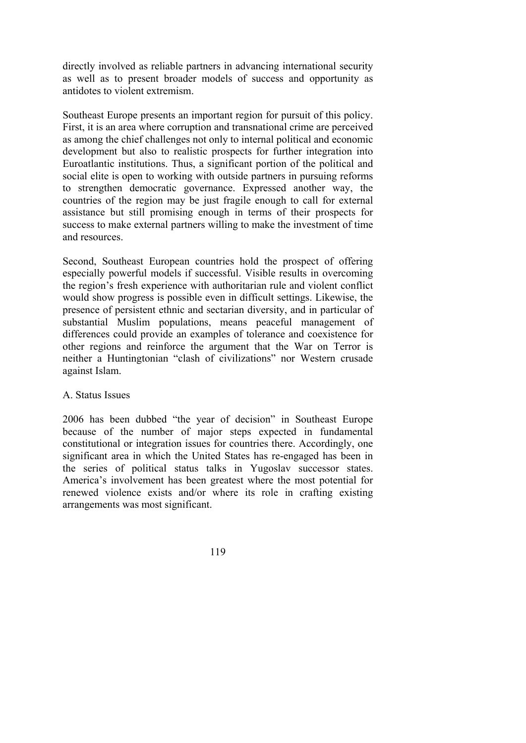directly involved as reliable partners in advancing international security as well as to present broader models of success and opportunity as antidotes to violent extremism.

Southeast Europe presents an important region for pursuit of this policy. First, it is an area where corruption and transnational crime are perceived as among the chief challenges not only to internal political and economic development but also to realistic prospects for further integration into Euroatlantic institutions. Thus, a significant portion of the political and social elite is open to working with outside partners in pursuing reforms to strengthen democratic governance. Expressed another way, the countries of the region may be just fragile enough to call for external assistance but still promising enough in terms of their prospects for success to make external partners willing to make the investment of time and resources.

Second, Southeast European countries hold the prospect of offering especially powerful models if successful. Visible results in overcoming the region's fresh experience with authoritarian rule and violent conflict would show progress is possible even in difficult settings. Likewise, the presence of persistent ethnic and sectarian diversity, and in particular of substantial Muslim populations, means peaceful management of differences could provide an examples of tolerance and coexistence for other regions and reinforce the argument that the War on Terror is neither a Huntingtonian "clash of civilizations" nor Western crusade against Islam.

#### A. Status Issues

2006 has been dubbed "the year of decision" in Southeast Europe because of the number of major steps expected in fundamental constitutional or integration issues for countries there. Accordingly, one significant area in which the United States has re-engaged has been in the series of political status talks in Yugoslav successor states. America's involvement has been greatest where the most potential for renewed violence exists and/or where its role in crafting existing arrangements was most significant.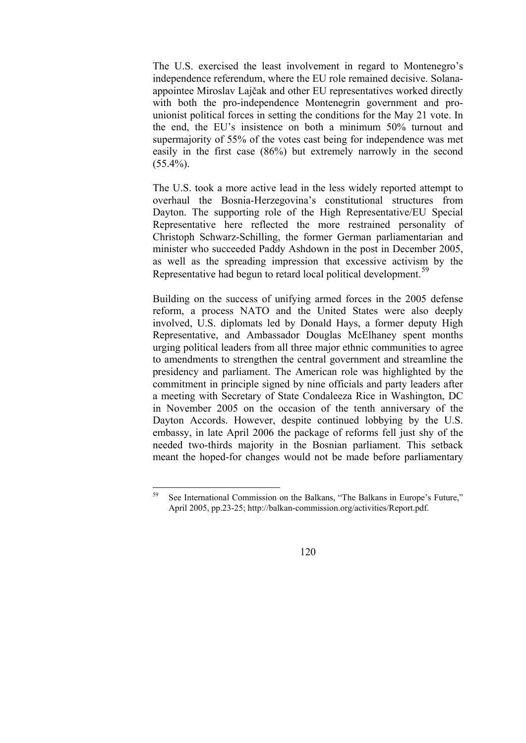The U.S. exercised the least involvement in regard to Montenegro's independence referendum, where the EU role remained decisive. Solanaappointee Miroslav Lajčak and other EU representatives worked directly with both the pro-independence Montenegrin government and prounionist political forces in setting the conditions for the May 21 vote. In the end, the EU's insistence on both a minimum 50% turnout and supermajority of 55% of the votes cast being for independence was met easily in the first case (86%) but extremely narrowly in the second  $(55.4\%)$ .

The U.S. took a more active lead in the less widely reported attempt to overhaul the Bosnia-Herzegovina's constitutional structures from Dayton. The supporting role of the High Representative/EU Special Representative here reflected the more restrained personality of Christoph Schwarz-Schilling, the former German parliamentarian and minister who succeeded Paddy Ashdown in the post in December 2005, as well as the spreading impression that excessive activism by the Representative had begun to retard local political development.<sup>[59](#page-7-0)</sup>

Building on the success of unifying armed forces in the 2005 defense reform, a process NATO and the United States were also deeply involved, U.S. diplomats led by Donald Hays, a former deputy High Representative, and Ambassador Douglas McElhaney spent months urging political leaders from all three major ethnic communities to agree to amendments to strengthen the central government and streamline the presidency and parliament. The American role was highlighted by the commitment in principle signed by nine officials and party leaders after a meeting with Secretary of State Condaleeza Rice in Washington, DC in November 2005 on the occasion of the tenth anniversary of the Dayton Accords. However, despite continued lobbying by the U.S. embassy, in late April 2006 the package of reforms fell just shy of the needed two-thirds majority in the Bosnian parliament. This setback meant the hoped-for changes would not be made before parliamentary

<span id="page-7-0"></span><sup>59</sup> See International Commission on the Balkans, "The Balkans in Europe's Future," April 2005, pp.23-25; http://balkan-commission.org/activities/Report.pdf.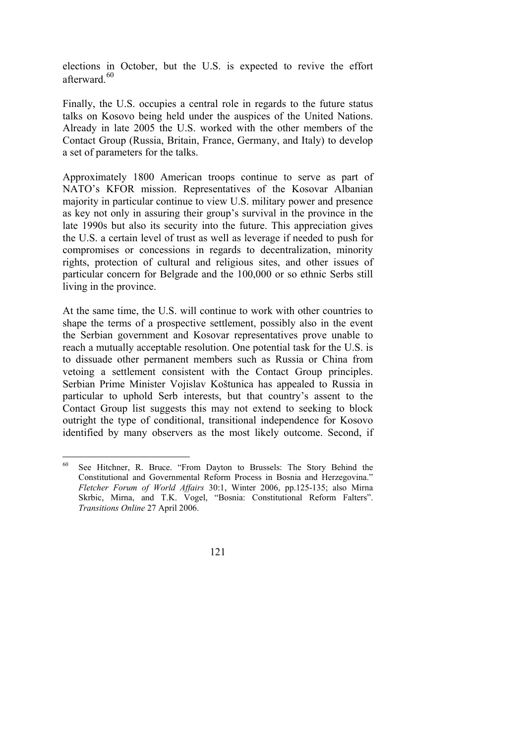elections in October, but the U.S. is expected to revive the effort afterward<sup>[6](#page-8-0)0</sup>

Finally, the U.S. occupies a central role in regards to the future status talks on Kosovo being held under the auspices of the United Nations. Already in late 2005 the U.S. worked with the other members of the Contact Group (Russia, Britain, France, Germany, and Italy) to develop a set of parameters for the talks.

Approximately 1800 American troops continue to serve as part of NATO's KFOR mission. Representatives of the Kosovar Albanian majority in particular continue to view U.S. military power and presence as key not only in assuring their group's survival in the province in the late 1990s but also its security into the future. This appreciation gives the U.S. a certain level of trust as well as leverage if needed to push for compromises or concessions in regards to decentralization, minority rights, protection of cultural and religious sites, and other issues of particular concern for Belgrade and the 100,000 or so ethnic Serbs still living in the province.

At the same time, the U.S. will continue to work with other countries to shape the terms of a prospective settlement, possibly also in the event the Serbian government and Kosovar representatives prove unable to reach a mutually acceptable resolution. One potential task for the U.S. is to dissuade other permanent members such as Russia or China from vetoing a settlement consistent with the Contact Group principles. Serbian Prime Minister Vojislav Koštunica has appealed to Russia in particular to uphold Serb interests, but that country's assent to the Contact Group list suggests this may not extend to seeking to block outright the type of conditional, transitional independence for Kosovo identified by many observers as the most likely outcome. Second, if

<span id="page-8-0"></span><sup>60</sup> See Hitchner, R. Bruce. "From Dayton to Brussels: The Story Behind the Constitutional and Governmental Reform Process in Bosnia and Herzegovina." *Fletcher Forum of World Affairs* 30:1, Winter 2006, pp.125-135; also Mirna Skrbic, Mirna, and T.K. Vogel, "Bosnia: Constitutional Reform Falters". *Transitions Online* 27 April 2006.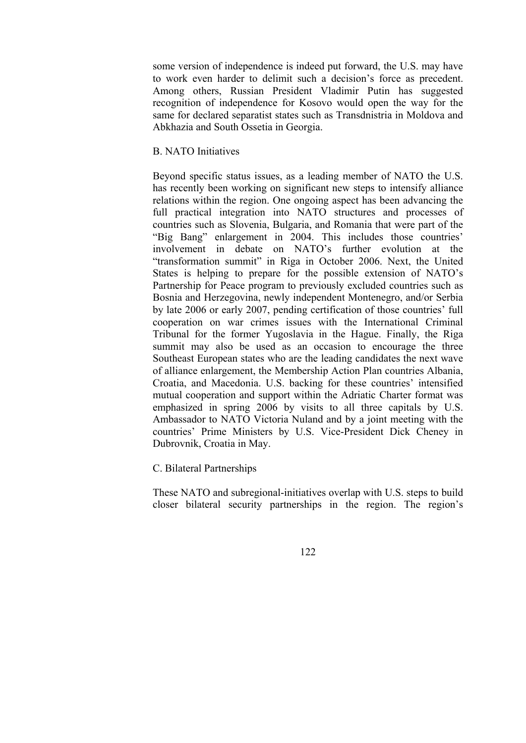some version of independence is indeed put forward, the U.S. may have to work even harder to delimit such a decision's force as precedent. Among others, Russian President Vladimir Putin has suggested recognition of independence for Kosovo would open the way for the same for declared separatist states such as Transdnistria in Moldova and Abkhazia and South Ossetia in Georgia.

### B. NATO Initiatives

Beyond specific status issues, as a leading member of NATO the U.S. has recently been working on significant new steps to intensify alliance relations within the region. One ongoing aspect has been advancing the full practical integration into NATO structures and processes of countries such as Slovenia, Bulgaria, and Romania that were part of the "Big Bang" enlargement in 2004. This includes those countries' involvement in debate on NATO's further evolution at the "transformation summit" in Riga in October 2006. Next, the United States is helping to prepare for the possible extension of NATO's Partnership for Peace program to previously excluded countries such as Bosnia and Herzegovina, newly independent Montenegro, and/or Serbia by late 2006 or early 2007, pending certification of those countries' full cooperation on war crimes issues with the International Criminal Tribunal for the former Yugoslavia in the Hague. Finally, the Riga summit may also be used as an occasion to encourage the three Southeast European states who are the leading candidates the next wave of alliance enlargement, the Membership Action Plan countries Albania, Croatia, and Macedonia. U.S. backing for these countries' intensified mutual cooperation and support within the Adriatic Charter format was emphasized in spring 2006 by visits to all three capitals by U.S. Ambassador to NATO Victoria Nuland and by a joint meeting with the countries' Prime Ministers by U.S. Vice-President Dick Cheney in Dubrovnik, Croatia in May.

#### C. Bilateral Partnerships

These NATO and subregional-initiatives overlap with U.S. steps to build closer bilateral security partnerships in the region. The region's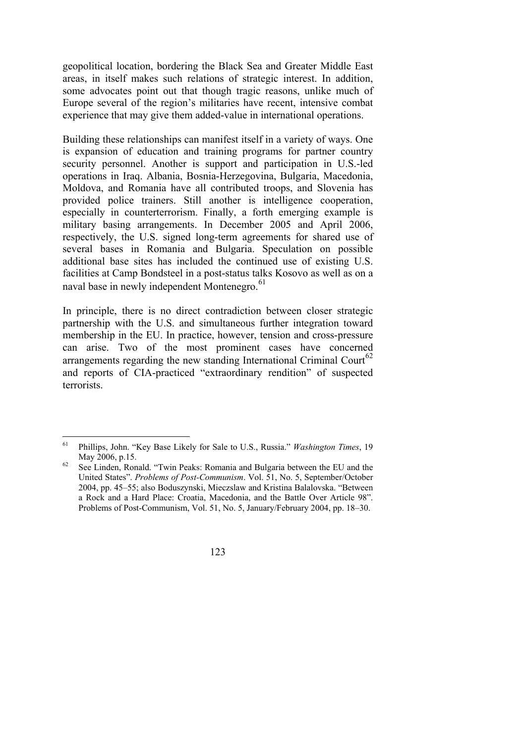geopolitical location, bordering the Black Sea and Greater Middle East areas, in itself makes such relations of strategic interest. In addition, some advocates point out that though tragic reasons, unlike much of Europe several of the region's militaries have recent, intensive combat experience that may give them added-value in international operations.

Building these relationships can manifest itself in a variety of ways. One is expansion of education and training programs for partner country security personnel. Another is support and participation in U.S.-led operations in Iraq. Albania, Bosnia-Herzegovina, Bulgaria, Macedonia, Moldova, and Romania have all contributed troops, and Slovenia has provided police trainers. Still another is intelligence cooperation, especially in counterterrorism. Finally, a forth emerging example is military basing arrangements. In December 2005 and April 2006, respectively, the U.S. signed long-term agreements for shared use of several bases in Romania and Bulgaria. Speculation on possible additional base sites has included the continued use of existing U.S. facilities at Camp Bondsteel in a post-status talks Kosovo as well as on a naval base in newly independent Montenegro.<sup>[6](#page-10-0)1</sup>

In principle, there is no direct contradiction between closer strategic partnership with the U.S. and simultaneous further integration toward membership in the EU. In practice, however, tension and cross-pressure can arise. Two of the most prominent cases have concerned arrangements regarding the new standing International Criminal Court<sup>[62](#page-10-1)</sup> and reports of CIA-practiced "extraordinary rendition" of suspected terrorists.

<span id="page-10-0"></span><sup>61</sup> 61 Phillips, John. "Key Base Likely for Sale to U.S., Russia." *Washington Times*, 19 May 2006, p.15.<br><sup>62</sup> See Linden, Ronald. "Twin Peaks: Romania and Bulgaria between the EU and the

<span id="page-10-1"></span>United States". *Problems of Post-Communism*. Vol. 51, No. 5, September/October 2004, pp. 45–55; also Boduszynski, Mieczslaw and Kristina Balalovska. "Between a Rock and a Hard Place: Croatia, Macedonia, and the Battle Over Article 98". Problems of Post-Communism, Vol. 51, No. 5, January/February 2004, pp. 18–30.